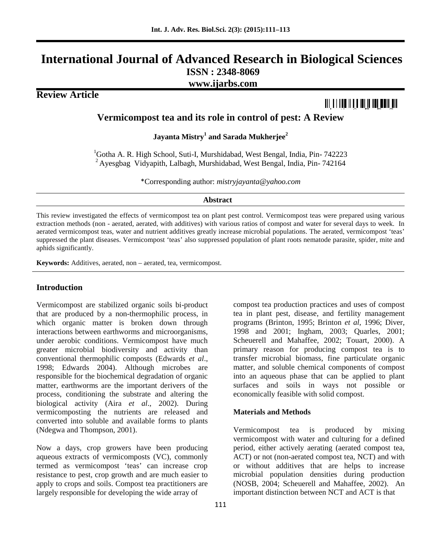# **International Journal of Advanced Research in Biological Sciences ISSN : 2348-8069 www.ijarbs.com**

**Review Article**

# <u> Ali a filio ift a iai ia an ann an </u>

**Vermicompost tea and its role in control of pest: A Review**

**Jayanta Mistry<sup>1</sup> and Sarada Mukherjee<sup>2</sup>**

<sup>1</sup>Gotha A. R. High School, Suti-I, Murshidabad, West Bengal, India, Pin- 742223  $2$  Ayesgbag Vidyapith, Lalbagh, Murshidabad, West Bengal, India, Pin-742164

\*Corresponding author: *mistryjayanta@yahoo.com*

#### **Abstract**

This review investigated the effects of vermicompost tea on plant pest control. Vermicompost teas were prepared using various extraction methods (non - aerated, aerated, with additives) with various ratios of compost and water for several days to week. In aerated vermicompost teas, water and nutrient additives greatly increase microbial populations. The aerated, vermicompost 'teas' suppressed the plant diseases. Vermicompost 'teas' also suppressed population of plant roots nematode parasite, spider, mite and aphids significantly.

**Keywords:** Additives, aerated, non – aerated, tea, vermicompost.

## **Introduction**

Vermicompost are stabilized organic soils bi-product that are produced by a non-thermophilic process, in which organic matter is broken down through interactions between earthworms and microorganisms, under aerobic conditions. Vermicompost have much greater microbial biodiversity and activity than conventional thermophilic composts (Edwards *et al*., 1998; Edwards 2004). Although microbes are responsible for the biochemical degradation of organic matter, earthworms are the important derivers of the process, conditioning the substrate and altering the biological activity (Aira *et al*., 2002). During vermicomposting the nutrients are released and converted into soluble and available forms to plants (Ndegwa and Thompson, 2001).

Now a days, crop growers have been producing aqueous extracts of vermicomposts (VC), commonly termed as vermicompost 'teas' can increase crop resistance to pest, crop growth and are much easier to apply to crops and soils. Compost tea practitioners are largely responsible for developing the wide array of

compost tea production practices and uses of compost tea in plant pest, disease, and fertility management programs (Brinton, 1995; Brinton *et al*, 1996; Diver, 1998 and 2001; Ingham, 2003; Quarles, 2001; Scheuerell and Mahaffee, 2002; Touart, 2000). A primary reason for producing compost tea is to transfer microbial biomass, fine particulate organic matter, and soluble chemical components of compost into an aqueous phase that can be applied to plant surfaces and soils in ways not possible or economically feasible with solid compost.

#### **Materials and Methods**

Vermicompost tea is produced by mixing vermicompost with water and culturing for a defined period, either actively aerating (aerated compost tea, ACT) or not (non-aerated compost tea, NCT) and with or without additives that are helps to increase microbial population densities during production (NOSB, 2004; Scheuerell and Mahaffee, 2002). An important distinction between NCT and ACT is that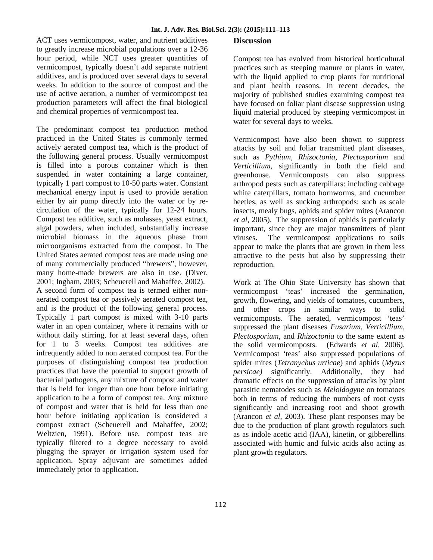ACT uses vermicompost, water, and nutrient additives to greatly increase microbial populations over a 12-36 hour period, while NCT uses greater quantities of vermicompost, typically doesn't add separate nutrient additives, and is produced over several days to several weeks. In addition to the source of compost and the use of active aeration, a number of vermicompost tea production parameters will affect the final biological and chemical properties of vermicompost tea.

The predominant compost tea production method practiced in the United States is commonly termed actively aerated compost tea, which is the product of the following general process. Usually vermicompost is filled into a porous container which is then suspended in water containing a large container, typically 1 part compost to 10-50 parts water. Constant mechanical energy input is used to provide aeration either by air pump directly into the water or by re circulation of the water, typically for 12-24 hours. Compost tea additive, such as molasses, yeast extract, algal powders, when included, substantially increase microbial biomass in the aqueous phase from microorganisms extracted from the compost. In The United States aerated compost teas are made using one of many commercially produced "brewers", however, many home-made brewers are also in use. (Diver, 2001; Ingham, 2003; Scheuerell and Mahaffee, 2002). A second form of compost tea is termed either non aerated compost tea or passively aerated compost tea, and is the product of the following general process. Typically 1 part compost is mixed with 3-10 parts water in an open container, where it remains with or without daily stirring, for at least several days, often for 1 to 3 weeks. Compost tea additives are infrequently added to non aerated compost tea. For the purposes of distinguishing compost tea production practices that have the potential to support growth of bacterial pathogens, any mixture of compost and water that is held for longer than one hour before initiating application to be a form of compost tea. Any mixture of compost and water that is held for less than one hour before initiating application is considered a compost extract (Scheuerell and Mahaffee, 2002; Weltzien, 1991). Before use, compost teas are typically filtered to a degree necessary to avoid plugging the sprayer or irrigation system used for application. Spray adjuvant are sometimes added immediately prior to application.

#### **Discussion**

Compost tea has evolved from historical horticultural practices such as steeping manure or plants in water, with the liquid applied to crop plants for nutritional and plant health reasons. In recent decades, the majority of published studies examining compost tea have focused on foliar plant disease suppression using liquid material produced by steeping vermicompost in water for several days to weeks.

Vermicompost have also been shown to suppress attacks by soil and foliar transmitted plant diseases, such as *Pythium, Rhizoctonia, Plectosporium* and *Verticillium,* significantly in both the field and greenhouse. Vermicomposts can also suppress arthropod pests such as caterpillars: including cabbage white caterpillars, tomato hornworms, and cucumber beetles, as well as sucking arthropods: such as scale insects, mealy bugs, aphids and spider mites (Arancon *et al*, 2005). The suppression of aphids is particularly important, since they are major transmitters of plant The vermicompost applications to soils appear to make the plants that are grown in them less attractive to the pests but also by suppressing their reproduction.

Work at The Ohio State University has shown that vermicompost 'teas' increased the germination, growth, flowering, and yields of tomatoes, cucumbers, and other crops in similar ways to solid vermicomposts. The aerated, vermicompost 'teas' suppressed the plant diseases *Fusarium, Verticillium, Plectosporium,* and *Rhizoctonia* to the same extent as the solid vermicomposts. (Edwards *et al*, 2006). Vermicompost 'teas' also suppressed populations of spider mites (*Tetranychus urticae*) and aphids (*Myzus persicae)* significantly. Additionally, they had dramatic effects on the suppression of attacks by plant parasitic nematodes such as *Meloidogyne* on tomatoes both in terms of reducing the numbers of root cysts significantly and increasing root and shoot growth (Arancon *et al*, 2003). These plant responses may be due to the production of plant growth regulators such as as indole acetic acid (IAA), kinetin, or gibberellins associated with humic and fulvic acids also acting as plant growth regulators.